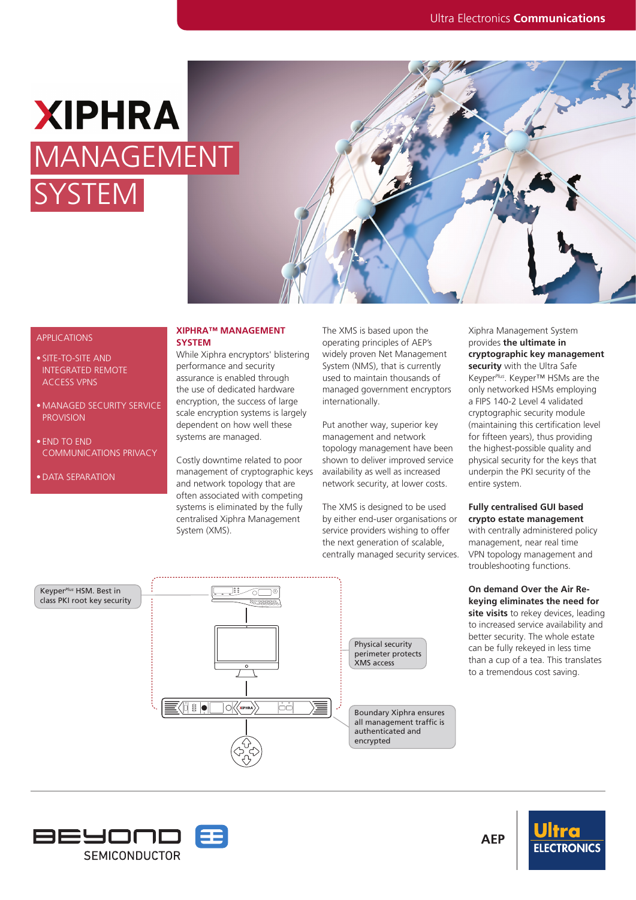## **XIPHRA** MANAGEMENT YSTEM



#### APPLICATIONS

- SITE-TO-SITE AND INTEGRATED REMOTE ACCESS VPNS
- MANAGED SECURITY SERVICE PROVISION
- END TO END COMMUNICATIONS PRIVACY
- DATA SEPARATION

#### **XIPHRA™ MANAGEMENT SYSTEM**

While Xiphra encryptors' blistering performance and security assurance is enabled through the use of dedicated hardware encryption, the success of large scale encryption systems is largely dependent on how well these systems are managed.

Costly downtime related to poor management of cryptographic keys and network topology that are often associated with competing systems is eliminated by the fully centralised Xiphra Management System (XMS).

The XMS is based upon the operating principles of AEP's widely proven Net Management System (NMS), that is currently used to maintain thousands of managed government encryptors internationally.

Put another way, superior key management and network topology management have been shown to deliver improved service availability as well as increased network security, at lower costs.

The XMS is designed to be used by either end-user organisations or service providers wishing to offer the next generation of scalable, centrally managed security services. Xiphra Management System provides **the ultimate in cryptographic key management security** with the Ultra Safe Keyper*Plus*. Keyper™ HSMs are the only networked HSMs employing a FIPS 140-2 Level 4 validated cryptographic security module (maintaining this certification level for fifteen years), thus providing the highest-possible quality and physical security for the keys that underpin the PKI security of the entire system.

#### **Fully centralised GUI based crypto estate management**

with centrally administered policy management, near real time VPN topology management and troubleshooting functions.

**On demand Over the Air Rekeying eliminates the need for site visits** to rekey devices, leading to increased service availability and better security. The whole estate can be fully rekeyed in less time than a cup of a tea. This translates to a tremendous cost saving.